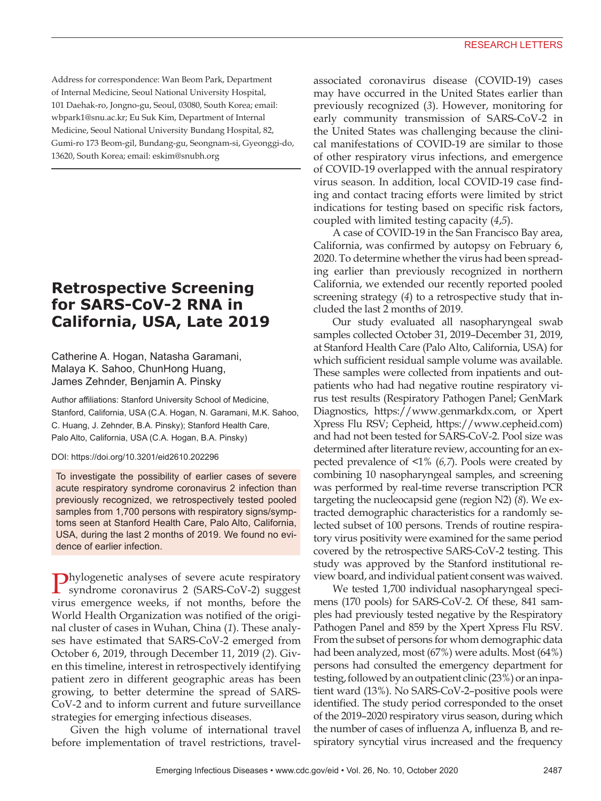Address for correspondence: Wan Beom Park, Department of Internal Medicine, Seoul National University Hospital, 101 Daehak-ro, Jongno-gu, Seoul, 03080, South Korea; email: wbpark1@snu.ac.kr; Eu Suk Kim, Department of Internal Medicine, Seoul National University Bundang Hospital, 82, Gumi-ro 173 Beom-gil, Bundang-gu, Seongnam-si, Gyeonggi-do, 13620, South Korea; email: eskim@snubh.org

## **Retrospective Screening for SARS-CoV-2 RNA in California, USA, Late 2019**

### Catherine A. Hogan, Natasha Garamani, Malaya K. Sahoo, ChunHong Huang, James Zehnder, Benjamin A. Pinsky

Author affiliations: Stanford University School of Medicine, Stanford, California, USA (C.A. Hogan, N. Garamani, M.K. Sahoo, C. Huang, J. Zehnder, B.A. Pinsky); Stanford Health Care, Palo Alto, California, USA (C.A. Hogan, B.A. Pinsky)

#### DOI: https://doi.org/10.3201/eid2610.202296

To investigate the possibility of earlier cases of severe acute respiratory syndrome coronavirus 2 infection than previously recognized, we retrospectively tested pooled samples from 1,700 persons with respiratory signs/symptoms seen at Stanford Health Care, Palo Alto, California, USA, during the last 2 months of 2019. We found no evidence of earlier infection.

Phylogenetic analyses of severe acute respiratory syndrome coronavirus 2 (SARS-CoV-2) suggest virus emergence weeks, if not months, before the World Health Organization was notified of the original cluster of cases in Wuhan, China (*1*). These analyses have estimated that SARS-CoV-2 emerged from October 6, 2019, through December 11, 2019 (*2*). Given this timeline, interest in retrospectively identifying patient zero in different geographic areas has been growing, to better determine the spread of SARS-CoV-2 and to inform current and future surveillance strategies for emerging infectious diseases.

Given the high volume of international travel before implementation of travel restrictions, travel-

associated coronavirus disease (COVID-19) cases may have occurred in the United States earlier than previously recognized (*3*). However, monitoring for early community transmission of SARS-CoV-2 in the United States was challenging because the clinical manifestations of COVID-19 are similar to those of other respiratory virus infections, and emergence of COVID-19 overlapped with the annual respiratory virus season. In addition, local COVID-19 case finding and contact tracing efforts were limited by strict indications for testing based on specific risk factors, coupled with limited testing capacity (*4*,*5*).

A case of COVID-19 in the San Francisco Bay area, California, was confirmed by autopsy on February 6, 2020. To determine whether the virus had been spreading earlier than previously recognized in northern California, we extended our recently reported pooled screening strategy (*4*) to a retrospective study that included the last 2 months of 2019.

Our study evaluated all nasopharyngeal swab samples collected October 31, 2019–December 31, 2019, at Stanford Health Care (Palo Alto, California, USA) for which sufficient residual sample volume was available. These samples were collected from inpatients and outpatients who had had negative routine respiratory virus test results (Respiratory Pathogen Panel; GenMark Diagnostics, https://www.genmarkdx.com, or Xpert Xpress Flu RSV; Cepheid, https://www.cepheid.com) and had not been tested for SARS-CoV-2. Pool size was determined after literature review, accounting for an expected prevalence of <1% (*6,7*). Pools were created by combining 10 nasopharyngeal samples, and screening was performed by real-time reverse transcription PCR targeting the nucleocapsid gene (region N2) (*8*). We extracted demographic characteristics for a randomly selected subset of 100 persons. Trends of routine respiratory virus positivity were examined for the same period covered by the retrospective SARS-CoV-2 testing. This study was approved by the Stanford institutional review board, and individual patient consent was waived.

We tested 1,700 individual nasopharyngeal specimens (170 pools) for SARS-CoV-2. Of these, 841 samples had previously tested negative by the Respiratory Pathogen Panel and 859 by the Xpert Xpress Flu RSV. From the subset of persons for whom demographic data had been analyzed, most (67%) were adults. Most (64%) persons had consulted the emergency department for testing, followed by an outpatient clinic (23%) or an inpatient ward (13%). No SARS-CoV-2–positive pools were identified. The study period corresponded to the onset of the 2019–2020 respiratory virus season, during which the number of cases of influenza A, influenza B, and respiratory syncytial virus increased and the frequency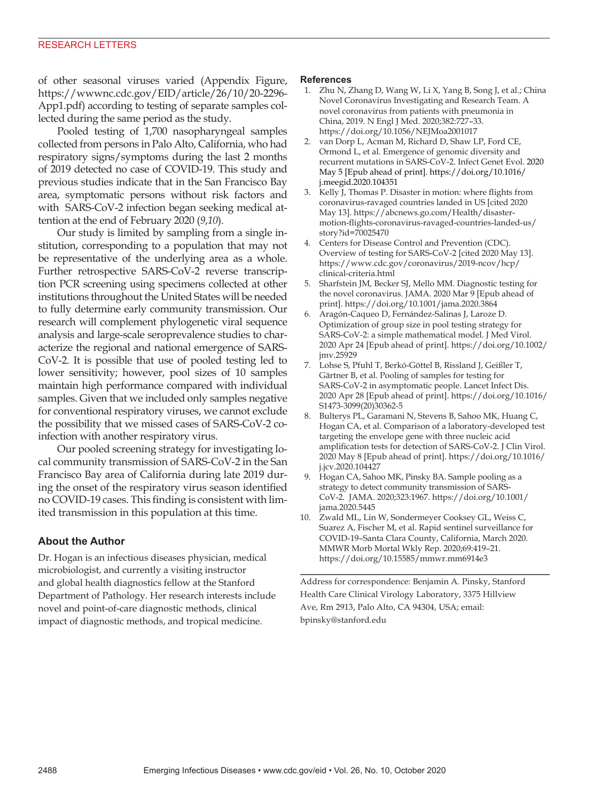of other seasonal viruses varied (Appendix Figure, https://wwwnc.cdc.gov/EID/article/26/10/20-2296- App1.pdf) according to testing of separate samples collected during the same period as the study.

Pooled testing of 1,700 nasopharyngeal samples collected from persons in Palo Alto, California, who had respiratory signs/symptoms during the last 2 months of 2019 detected no case of COVID-19. This study and previous studies indicate that in the San Francisco Bay area, symptomatic persons without risk factors and with SARS-CoV-2 infection began seeking medical attention at the end of February 2020 (*9*,*10*).

Our study is limited by sampling from a single institution, corresponding to a population that may not be representative of the underlying area as a whole. Further retrospective SARS-CoV-2 reverse transcription PCR screening using specimens collected at other institutions throughout the United States will be needed to fully determine early community transmission. Our research will complement phylogenetic viral sequence analysis and large-scale seroprevalence studies to characterize the regional and national emergence of SARS-CoV-2. It is possible that use of pooled testing led to lower sensitivity; however, pool sizes of 10 samples maintain high performance compared with individual samples. Given that we included only samples negative for conventional respiratory viruses, we cannot exclude the possibility that we missed cases of SARS-CoV-2 coinfection with another respiratory virus.

Our pooled screening strategy for investigating local community transmission of SARS-CoV-2 in the San Francisco Bay area of California during late 2019 during the onset of the respiratory virus season identified no COVID-19 cases. This finding is consistent with limited transmission in this population at this time.

#### **About the Author**

Dr. Hogan is an infectious diseases physician, medical microbiologist, and currently a visiting instructor and global health diagnostics fellow at the Stanford Department of Pathology. Her research interests include novel and point-of-care diagnostic methods, clinical impact of diagnostic methods, and tropical medicine.

#### **References**

- 1. Zhu N, Zhang D, Wang W, Li X, Yang B, Song J, et al.; China Novel Coronavirus Investigating and Research Team. A novel coronavirus from patients with pneumonia in China, 2019. N Engl J Med. 2020;382:727–33. https://doi.org/10.1056/NEJMoa2001017
- 2. van Dorp L, Acman M, Richard D, Shaw LP, Ford CE, Ormond L, et al. Emergence of genomic diversity and recurrent mutations in SARS-CoV-2. Infect Genet Evol. 2020 May 5 [Epub ahead of print]. https://doi.org/10.1016/ j.meegid.2020.104351
- 3. Kelly J, Thomas P. Disaster in motion: where flights from coronavirus-ravaged countries landed in US [cited 2020 May 13]. https://abcnews.go.com/Health/disastermotion-flights-coronavirus-ravaged-countries-landed-us/ story?id=70025470
- 4. Centers for Disease Control and Prevention (CDC). Overview of testing for SARS-CoV-2 [cited 2020 May 13]. https://www.cdc.gov/coronavirus/2019-ncov/hcp/ clinical-criteria.html
- 5. Sharfstein JM, Becker SJ, Mello MM. Diagnostic testing for the novel coronavirus. JAMA. 2020 Mar 9 [Epub ahead of print]. https://doi.org/10.1001/jama.2020.3864
- 6. Aragón-Caqueo D, Fernández-Salinas J, Laroze D. Optimization of group size in pool testing strategy for SARS-CoV-2: a simple mathematical model. J Med Virol. 2020 Apr 24 [Epub ahead of print]. https://doi.org/10.1002/ jmv.25929
- 7. Lohse S, Pfuhl T, Berkó-Göttel B, Rissland J, Geißler T, Gärtner B, et al. Pooling of samples for testing for SARS-CoV-2 in asymptomatic people. Lancet Infect Dis. 2020 Apr 28 [Epub ahead of print]. https://doi.org/10.1016/ S1473-3099(20)30362-5
- 8. Bulterys PL, Garamani N, Stevens B, Sahoo MK, Huang C, Hogan CA, et al. Comparison of a laboratory-developed test targeting the envelope gene with three nucleic acid amplification tests for detection of SARS-CoV-2. J Clin Virol. 2020 May 8 [Epub ahead of print]. https://doi.org/10.1016/ j.jcv.2020.104427
- 9. Hogan CA, Sahoo MK, Pinsky BA. Sample pooling as a strategy to detect community transmission of SARS-CoV-2. JAMA. 2020;323:1967. https://doi.org/10.1001/ jama.2020.5445
- Zwald ML, Lin W, Sondermeyer Cooksey GL, Weiss C, Suarez A, Fischer M, et al. Rapid sentinel surveillance for COVID-19–Santa Clara County, California, March 2020. MMWR Morb Mortal Wkly Rep. 2020;69:419–21. https://doi.org/10.15585/mmwr.mm6914e3

Address for correspondence: Benjamin A. Pinsky, Stanford Health Care Clinical Virology Laboratory, 3375 Hillview Ave, Rm 2913, Palo Alto, CA 94304, USA; email: bpinsky@stanford.edu